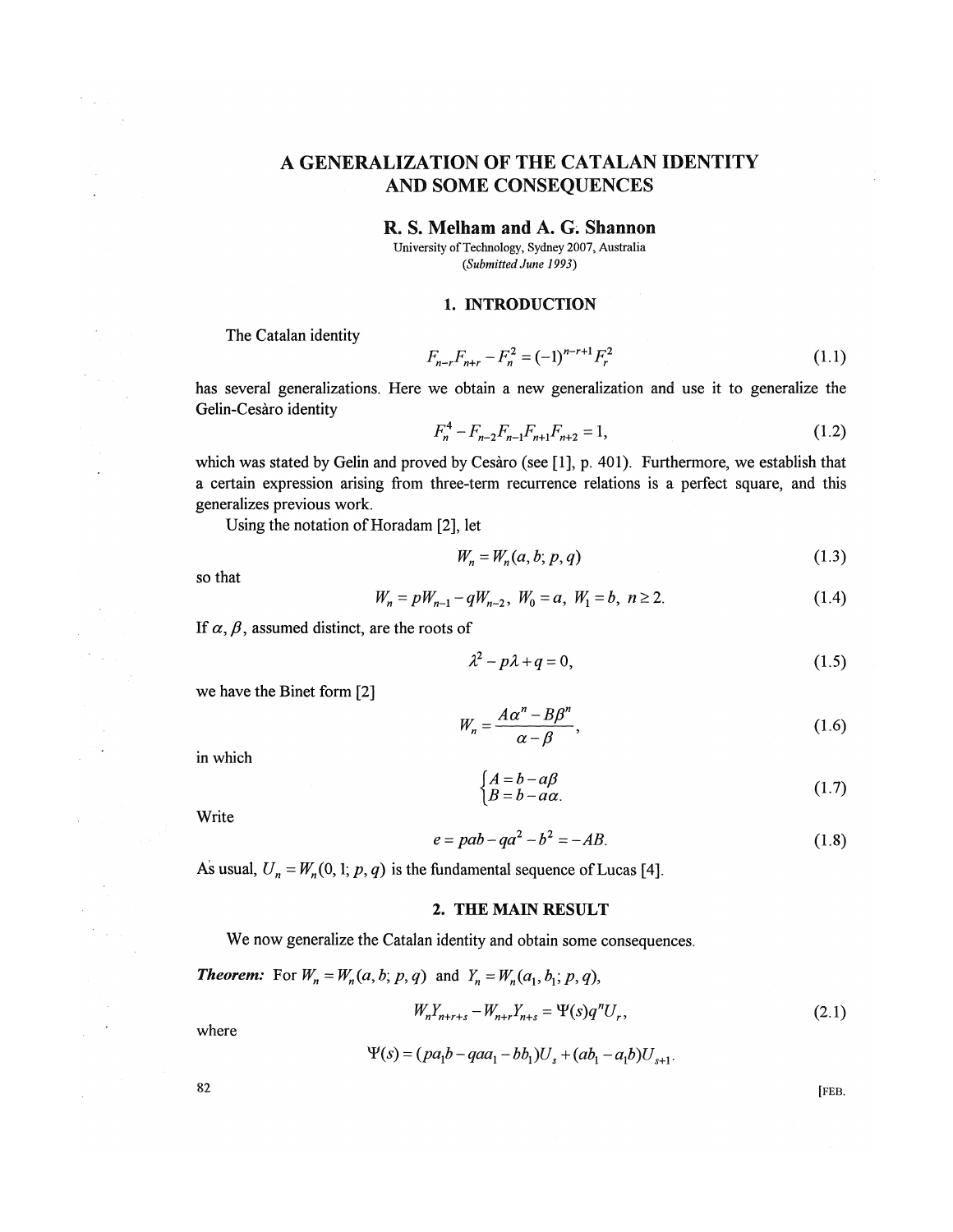# A GENERALIZATION OF THE CATALAN IDENTITY AND SOME CONSEQUENCES

## R. S. Melham and A. G. Shannon

University of Technology, Sydney 2007, Australia *(Submitted June 1993)* 

#### 1. INTRODUCTION

The Catalan identity

$$
F_{n-r}F_{n+r} - F_n^2 = (-1)^{n-r+1}F_r^2
$$
\n(1.1)

has several generalizations. Here we obtain a new generalization and use it to generalize the Gelin-Cesaro identity

$$
F_n^4 - F_{n-2} F_{n-1} F_{n+1} F_{n+2} = 1,
$$
\n(1.2)

which was stated by Gelin and proved by Cesàro (see [1], p. 401). Furthermore, we establish that a certain expression arising from three-term recurrence relations is a perfect square, and this generalizes previous work.

Using the notation of Horadam [2], let

$$
W_n = W_n(a, b; p, q) \tag{1.3}
$$

so that

 $\frac{1}{2} \left( \frac{1}{2} \right)$  .

$$
W_n = pW_{n-1} - qW_{n-2}, W_0 = a, W_1 = b, n \ge 2.
$$
 (1.4)

If  $\alpha$ ,  $\beta$ , assumed distinct, are the roots of

$$
\lambda^2 - p\lambda + q = 0,\tag{1.5}
$$

we have the Binet form [2]

$$
W_n = \frac{A\alpha^n - B\beta^n}{\alpha - \beta},
$$
\n(1.6)

in which

$$
\begin{cases}\nA = b - a\beta \\
B = b - a\alpha.\n\end{cases} (1.7)
$$

Write

$$
e = pab - qa^2 - b^2 = -AB.
$$
 (1.8)

As usual,  $U_n = W_n(0, 1; p, q)$  is the fundamental sequence of Lucas [4].

### **2. THE MAIN RESULT**

We now generalize the Catalan identity and obtain some consequences.

*Theorem:* For  $W_n = W_n(a, b; p, q)$  and  $Y_n = W_n(a_1, b_1; p, q)$ ,

$$
W_n Y_{n+r+s} - W_{n+r} Y_{n+s} = \Psi(s) q^n U_r, \qquad (2.1)
$$

where

$$
\Psi(s) = (pa_1b - qaa_1 - bb_1)U_s + (ab_1 - a_1b)U_{s+1}.
$$

 $82$  [FEB.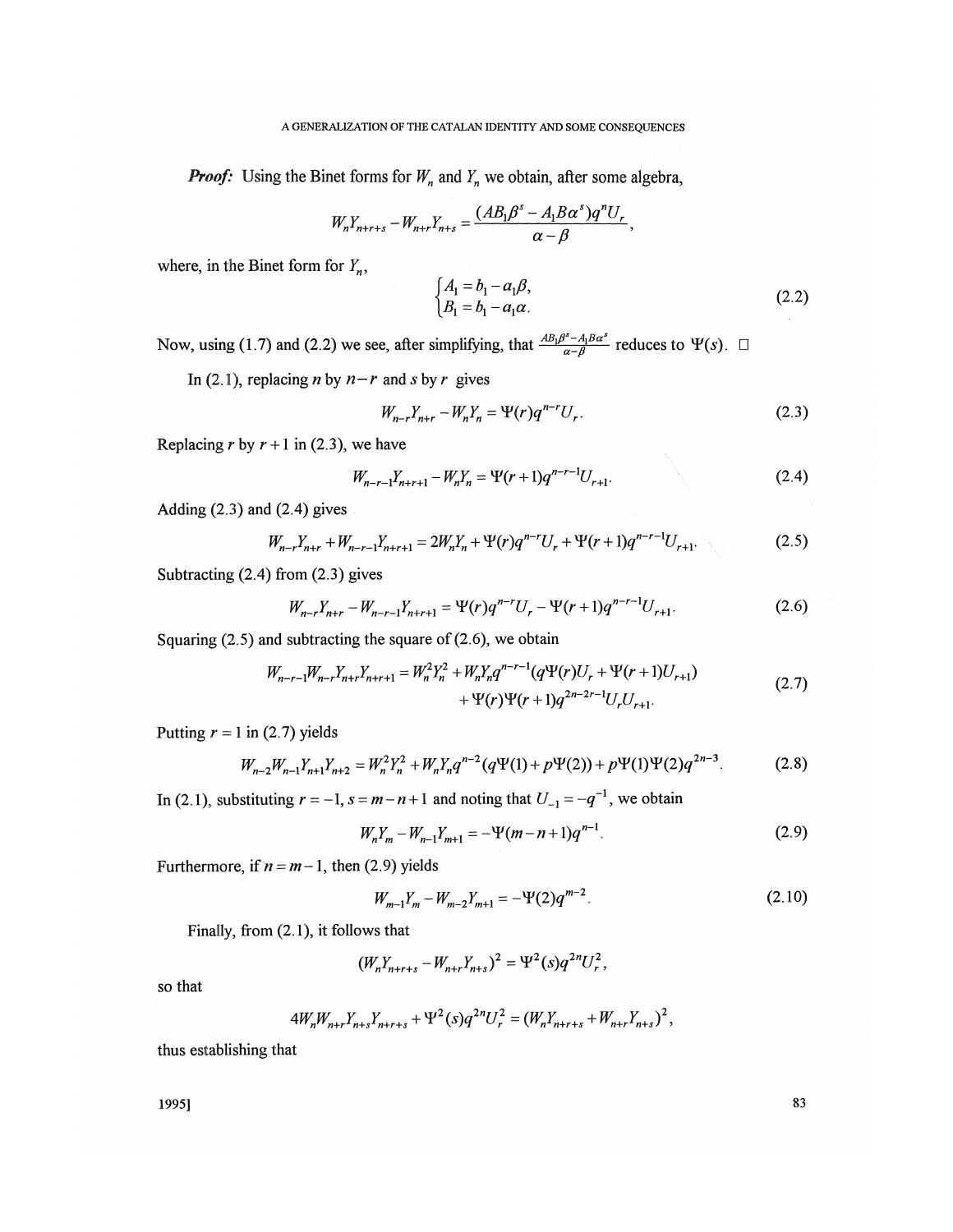*Proof:* Using the Binet forms for  $W_n$  and  $Y_n$  we obtain, after some algebra,

$$
W_n Y_{n+r+s} - W_{n+r} Y_{n+s} = \frac{(AB_1 \beta^s - A_1 B \alpha^s) q^n U_r}{\alpha - \beta}
$$

where, in the Binet form for  $Y_n$ ,

$$
\begin{cases} A_1 = b_1 - a_1 \beta, \\ B_1 = b_1 - a_1 \alpha. \end{cases}
$$
 (2.2)

Now, using (1.7) and (2.2) we see, after simplifying, that  $\frac{AB_1\beta^s - A_1B\alpha^s}{\alpha - \beta}$  reduces to  $\Psi(s)$ .  $\square$ 

In (2.1), replacing *n* by  $n-r$  and *s* by *r* gives

$$
W_{n-r}Y_{n+r} - W_nY_n = \Psi(r)q^{n-r}U_r.
$$
 (2.3)

Replacing  $r$  by  $r + 1$  in (2.3), we have

$$
W_{n-r-1}Y_{n+r+1} - W_nY_n = \Psi(r+1)q^{n-r-1}U_{r+1}.
$$
 (2.4)

Adding  $(2.3)$  and  $(2.4)$  gives

$$
W_{n-r}Y_{n+r} + W_{n-r-1}Y_{n+r+1} = 2W_nY_n + \Psi(r)q^{n-r}U_r + \Psi(r+1)q^{n-r-1}U_{r+1}.
$$
 (2.5)

Subtracting (2.4) from (2.3) gives

$$
W_{n-r}Y_{n+r} - W_{n-r-1}Y_{n+r+1} = \Psi(r)q^{n-r}U_r - \Psi(r+1)q^{n-r-1}U_{r+1}.
$$
 (2.6)

Squaring  $(2.5)$  and subtracting the square of  $(2.6)$ , we obtain

$$
W_{n-r-1}W_{n-r}Y_{n+r}Y_{n+r+1} = W_n^2 Y_n^2 + W_n Y_n q^{n-r-1} (q\Psi(r)U_r + \Psi(r+1)U_{r+1})
$$
  
+ 
$$
\Psi(r)\Psi(r+1)q^{2n-2r-1}U_r U_{r+1}.
$$
 (2.7)

Putting  $r = 1$  in (2.7) yields

$$
W_{n-2}W_{n-1}Y_{n+1}Y_{n+2} = W_n^2 Y_n^2 + W_n Y_n q^{n-2} (q\Psi(1) + p\Psi(2)) + p\Psi(1)\Psi(2) q^{2n-3}.
$$
 (2.8)

In (2.1), substituting  $r = -1$ ,  $s = m - n + 1$  and noting that  $U_{-1} = -q^{-1}$ , we obtain

$$
W_n Y_m - W_{n-1} Y_{m+1} = -\Psi(m-n+1)q^{n-1}.
$$
 (2.9)

Furthermore, if  $n = m-1$ , then (2.9) yields

$$
W_{m-1}Y_m - W_{m-2}Y_{m+1} = -\Psi(2)q^{m-2}.
$$
\n(2.10)

Finally, from (2.1), it follows that

$$
(W_n Y_{n+r+s} - W_{n+r} Y_{n+s})^2 = \Psi^2(s) q^{2n} U_r^2,
$$

so that

$$
4W_nW_{n+r}Y_{n+s}Y_{n+r+s} + \Psi^2(s)q^{2n}U_r^2 = (W_nY_{n+r+s} + W_{n+r}Y_{n+s})^2,
$$

thus establishing that

 $1995$ ] 83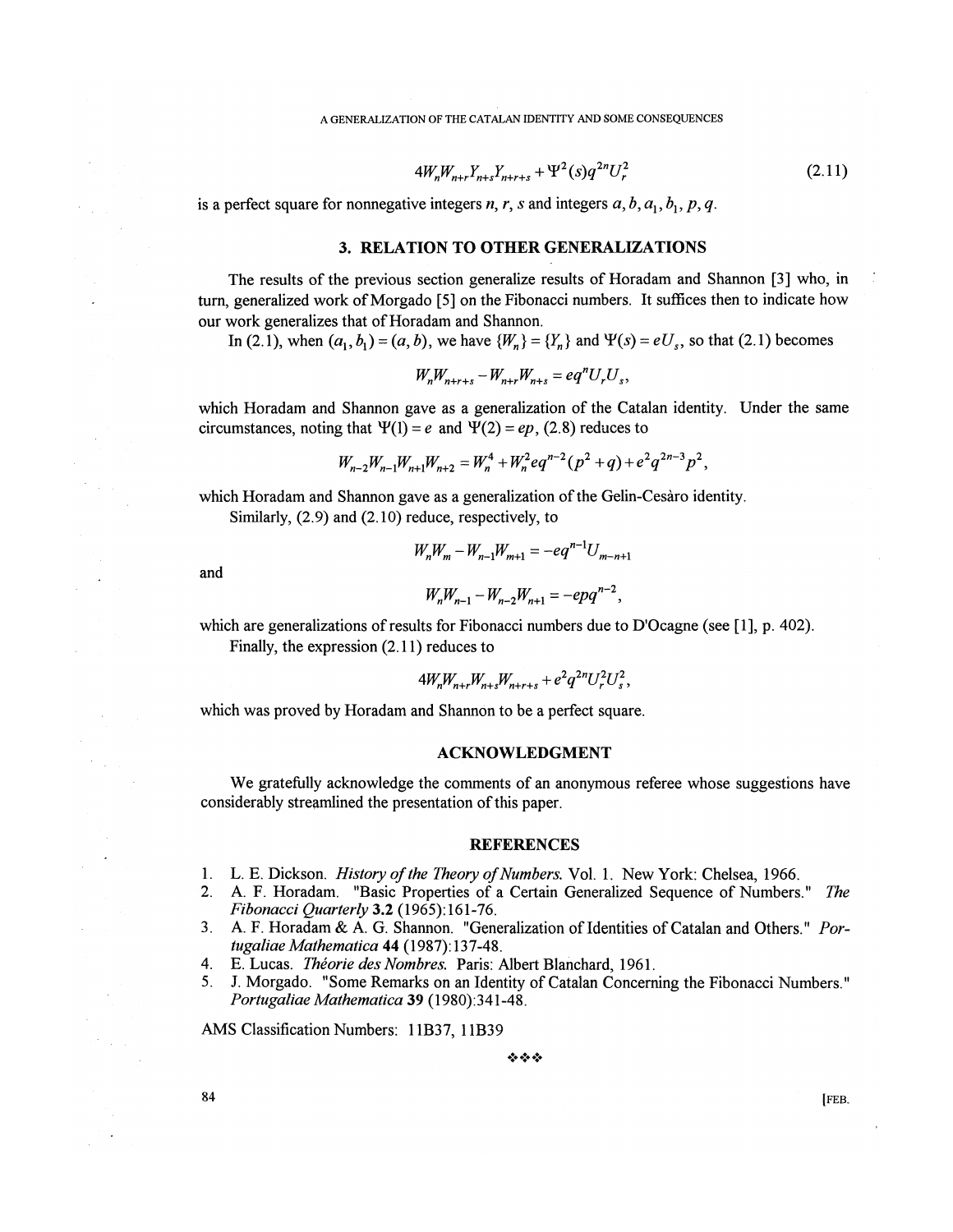A GENERALIZATION OF THE CATALAN IDENTITY AND SOME CONSEQUENCES

$$
4W_n W_{n+r} Y_{n+s} Y_{n+r+s} + \Psi^2(s) q^{2n} U_r^2 \tag{2.11}
$$

is a perfect square for nonnegative integers  $n$ ,  $r$ ,  $s$  and integers  $a$ ,  $b$ ,  $a_1$ ,  $b_1$ ,  $p$ ,  $q$ .

### 3. RELATION TO OTHER GENERALIZATIONS

The results of the previous section generalize results of Horadam and Shannon [3] who, in turn, generalized work of Morgado [5] on the Fibonacci numbers. It suffices then to indicate how our work generalizes that of Horadam and Shannon.

In (2.1), when  $(a_1, b_1) = (a, b)$ , we have  ${W_n} = {Y_n}$  and  $\Psi(s) = eU_s$ , so that (2.1) becomes

$$
W_n W_{n+r+s} - W_{n+r} W_{n+s} = eq^n U_r U_s,
$$

which Horadam and Shannon gave as a generalization of the Catalan identity. Under the same circumstances, noting that  $\Psi(1) = e$  and  $\Psi(2) = ep$ , (2.8) reduces to

$$
W_{n-2}W_{n-1}W_{n+1}W_{n+2} = W_n^4 + W_n^2 e q^{n-2} (p^2 + q) + e^2 q^{2n-3} p^2,
$$

which Horadam and Shannon gave as a generalization of the Gelin-Cesàro identity.

Similarly, (2.9) and (2.10) reduce, respectively, to

$$
W_n W_m - W_{n-1} W_{m+1} = -e q^{n-1} U_{m-n+1}
$$

and

$$
W_n W_{n-1} - W_{n-2} W_{n+1} = -e p q^{n-2},
$$

which are generalizations of results for Fibonacci numbers due to D'Ocagne (see [1], p. 402).

Finally, the expression (2.11) reduces to

$$
4W_nW_{n+r}W_{n+s}W_{n+r+s} + e^2q^{2n}U_r^2U_s^2,
$$

which was proved by Horadam and Shannon to be a perfect square.

### ACKNOWLEDGMENT

We gratefully acknowledge the comments of an anonymous referee whose suggestions have considerably streamlined the presentation of this paper.

#### REFERENCES

- 1. L. E. Dickson. *History of the Theory of Numbers.* Vol. 1. New York: Chelsea, 1966.
- 2. A. F. Horadam. "Basic Properties of a Certain Generalized Sequence of Numbers." *The Fibonacci Quarterly* 3.2 (1965): 161-76.
- 3. A. F. Horadam & A. G. Shannon. "Generalization of Identities of Catalan and Others." *Portugaliae Mathematica* 44 (1987): 137-48.
- 4. E. Lucas. *Théorie des Nombres*. Paris: Albert Blanchard, 1961.
- 5. J. Morgado. "Some Remarks on an Identity of Catalan Concerning the Fibonacci Numbers." *Portugaliae Mathematica* 39 (1980):341-48.

AMS Classification Numbers: 11B37, 11B39

$$
\mathcal{L}_{\mathcal{P}}^{\mathcal{P}} \circ \mathcal{L}_{\mathcal{P}}^{\mathcal{P}} \circ \mathcal{L}_{\mathcal{P}}^{\mathcal{P}}
$$

**84 IFFER**, **EXECUTE 2008 IFFER**, **EXECUTE 2009 IFFER**, **EXECUTE 2009**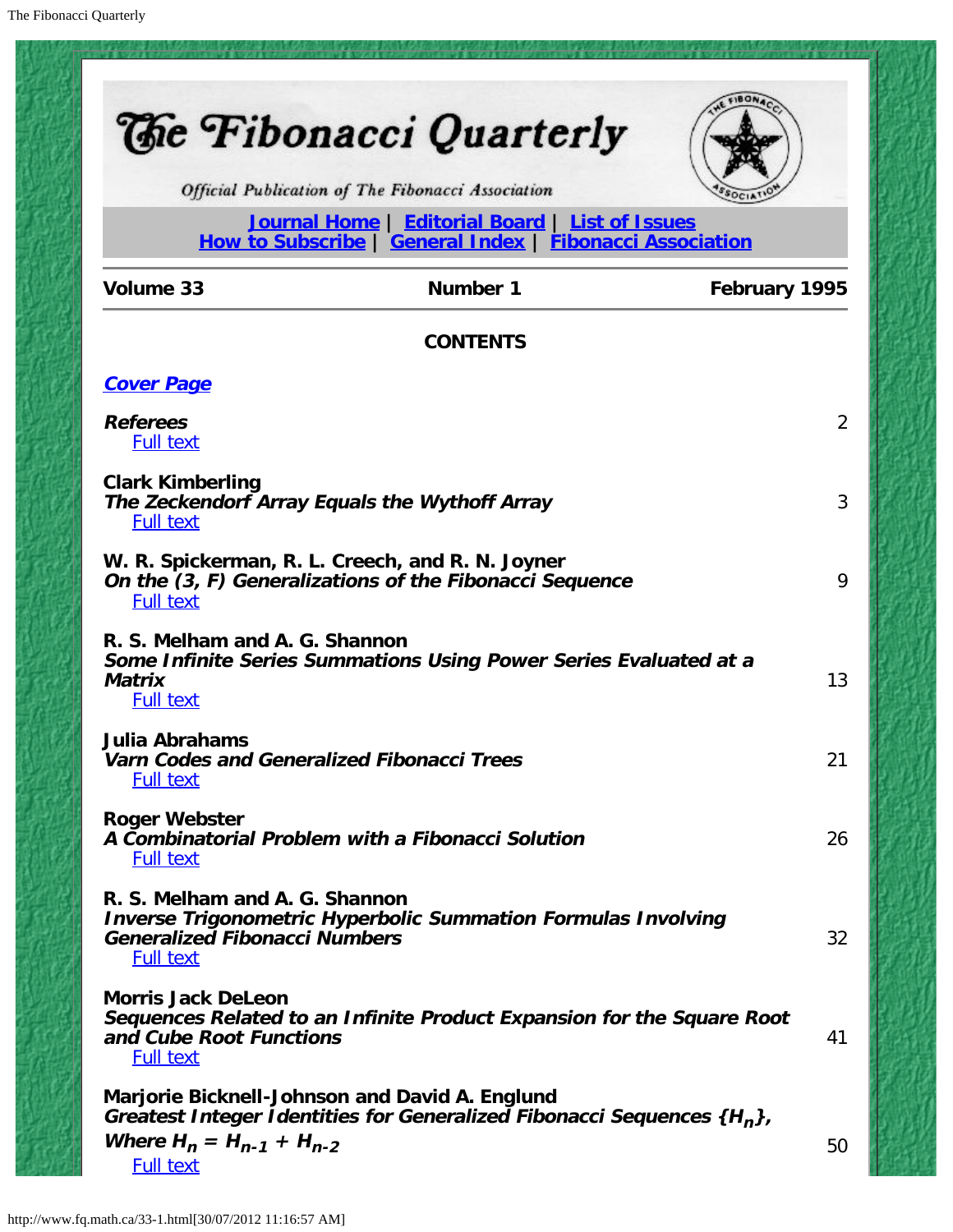